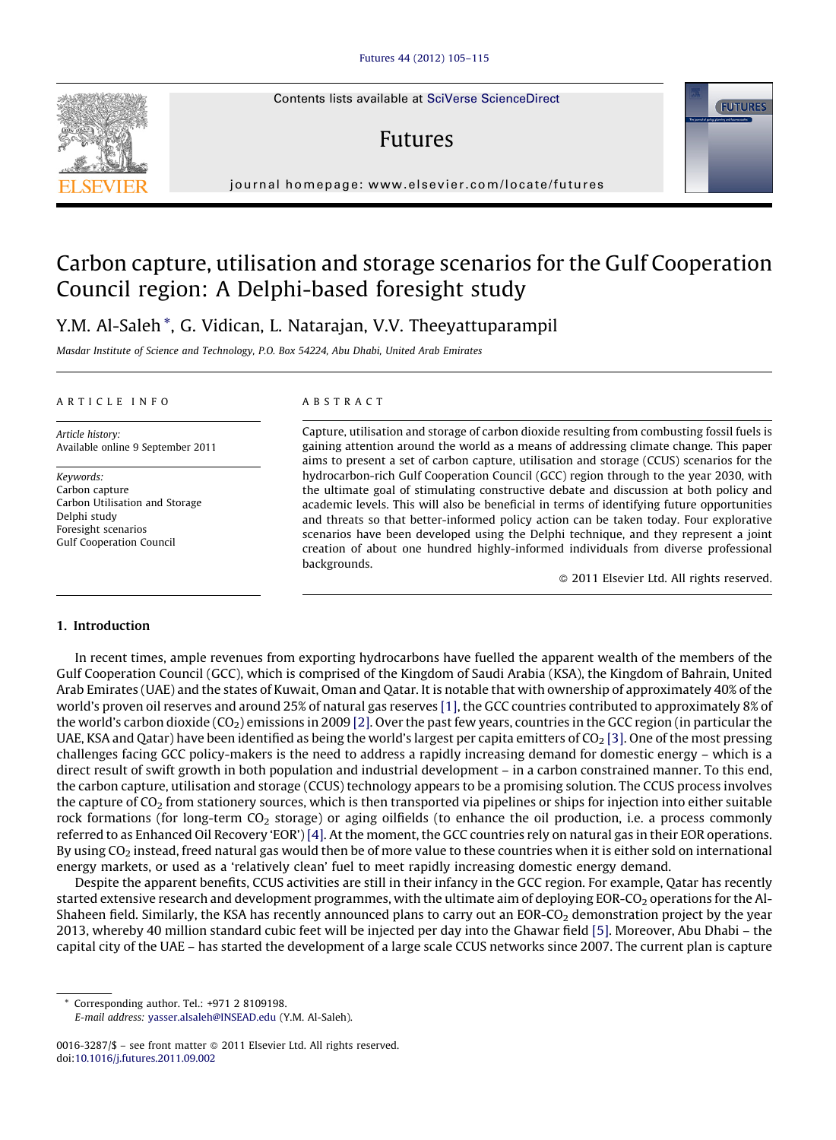Contents lists available at SciVerse [ScienceDirect](http://www.sciencedirect.com/science/journal/00163287)

## Futures

journal homepage: www.elsevier.com/locate/futures

# Carbon capture, utilisation and storage scenarios for the Gulf Cooperation Council region: A Delphi-based foresight study

### Y.M. Al-Saleh \*, G. Vidican, L. Natarajan, V.V. Theeyattuparampil

Masdar Institute of Science and Technology, P.O. Box 54224, Abu Dhabi, United Arab Emirates

#### A R T I C I E I N E O

Article history: Available online 9 September 2011

Keywords: Carbon capture Carbon Utilisation and Storage Delphi study Foresight scenarios Gulf Cooperation Council

#### A B S T R A C T

Capture, utilisation and storage of carbon dioxide resulting from combusting fossil fuels is gaining attention around the world as a means of addressing climate change. This paper aims to present a set of carbon capture, utilisation and storage (CCUS) scenarios for the hydrocarbon-rich Gulf Cooperation Council (GCC) region through to the year 2030, with the ultimate goal of stimulating constructive debate and discussion at both policy and academic levels. This will also be beneficial in terms of identifying future opportunities and threats so that better-informed policy action can be taken today. Four explorative scenarios have been developed using the Delphi technique, and they represent a joint creation of about one hundred highly-informed individuals from diverse professional backgrounds.

- 2011 Elsevier Ltd. All rights reserved.

#### 1. Introduction

In recent times, ample revenues from exporting hydrocarbons have fuelled the apparent wealth of the members of the Gulf Cooperation Council (GCC), which is comprised of the Kingdom of Saudi Arabia (KSA), the Kingdom of Bahrain, United Arab Emirates (UAE) and the states of Kuwait, Oman and Qatar. It is notable that with ownership of approximately 40% of the world's proven oil reserves and around 25% of natural gas reserves [\[1\],](#page--1-0) the GCC countries contributed to approximately 8% of the world's carbon dioxide ( $CO<sub>2</sub>$ ) emissions in 2009 [\[2\].](#page--1-0) Over the past few years, countries in the GCC region (in particular the UAE, KSA and Qatar) have been identified as being the world's largest per capita emitters of  $CO<sub>2</sub>$  [\[3\]](#page--1-0). One of the most pressing challenges facing GCC policy-makers is the need to address a rapidly increasing demand for domestic energy – which is a direct result of swift growth in both population and industrial development – in a carbon constrained manner. To this end, the carbon capture, utilisation and storage (CCUS) technology appears to be a promising solution. The CCUS process involves the capture of  $CO<sub>2</sub>$  from stationery sources, which is then transported via pipelines or ships for injection into either suitable rock formations (for long-term  $CO_2$  storage) or aging oilfields (to enhance the oil production, i.e. a process commonly referred to as Enhanced Oil Recovery 'EOR') [\[4\].](#page--1-0) At the moment, the GCC countries rely on natural gas in their EOR operations. By using  $CO<sub>2</sub>$  instead, freed natural gas would then be of more value to these countries when it is either sold on international energy markets, or used as a 'relatively clean' fuel to meet rapidly increasing domestic energy demand.

Despite the apparent benefits, CCUS activities are still in their infancy in the GCC region. For example, Qatar has recently started extensive research and development programmes, with the ultimate aim of deploying EOR-CO<sub>2</sub> operations for the Al-Shaheen field. Similarly, the KSA has recently announced plans to carry out an EOR-CO<sub>2</sub> demonstration project by the year 2013, whereby 40 million standard cubic feet will be injected per day into the Ghawar field [\[5\].](#page--1-0) Moreover, Abu Dhabi – the capital city of the UAE – has started the development of a large scale CCUS networks since 2007. The current plan is capture

Corresponding author. Tel.: +971 2 8109198.

E-mail address: [yasser.alsaleh@INSEAD.edu](mailto:yasser.alsaleh@INSEAD.edu) (Y.M. Al-Saleh).





<sup>0016-3287/\$ –</sup> see front matter © 2011 Elsevier Ltd. All rights reserved. doi:[10.1016/j.futures.2011.09.002](http://dx.doi.org/10.1016/j.futures.2011.09.002)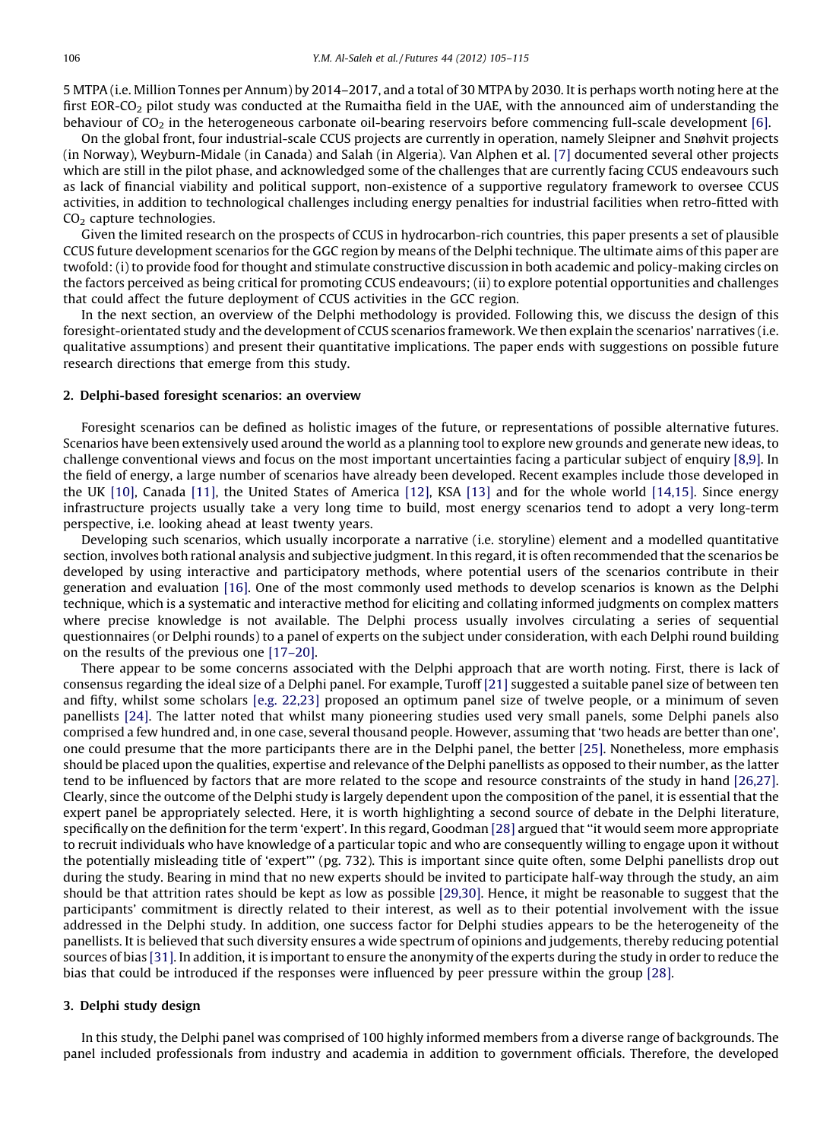5 MTPA (i.e. Million Tonnes per Annum) by 2014–2017, and a total of 30 MTPA by 2030. It is perhaps worth noting here at the first EOR-CO<sub>2</sub> pilot study was conducted at the Rumaitha field in the UAE, with the announced aim of understanding the behaviour of  $CO<sub>2</sub>$  in the heterogeneous carbonate oil-bearing reservoirs before commencing full-scale development [\[6\]](#page--1-0).

On the global front, four industrial-scale CCUS projects are currently in operation, namely Sleipner and Snøhvit projects (in Norway), Weyburn-Midale (in Canada) and Salah (in Algeria). Van Alphen et al. [\[7\]](#page--1-0) documented several other projects which are still in the pilot phase, and acknowledged some of the challenges that are currently facing CCUS endeavours such as lack of financial viability and political support, non-existence of a supportive regulatory framework to oversee CCUS activities, in addition to technological challenges including energy penalties for industrial facilities when retro-fitted with  $CO<sub>2</sub>$  capture technologies.

Given the limited research on the prospects of CCUS in hydrocarbon-rich countries, this paper presents a set of plausible CCUS future development scenarios for the GGC region by means of the Delphi technique. The ultimate aims of this paper are twofold: (i) to provide food for thought and stimulate constructive discussion in both academic and policy-making circles on the factors perceived as being critical for promoting CCUS endeavours; (ii) to explore potential opportunities and challenges that could affect the future deployment of CCUS activities in the GCC region.

In the next section, an overview of the Delphi methodology is provided. Following this, we discuss the design of this foresight-orientated study and the development of CCUS scenarios framework. We then explain the scenarios' narratives (i.e. qualitative assumptions) and present their quantitative implications. The paper ends with suggestions on possible future research directions that emerge from this study.

#### 2. Delphi-based foresight scenarios: an overview

Foresight scenarios can be defined as holistic images of the future, or representations of possible alternative futures. Scenarios have been extensively used around the world as a planning tool to explore new grounds and generate new ideas, to challenge conventional views and focus on the most important uncertainties facing a particular subject of enquiry [\[8,9\].](#page--1-0) In the field of energy, a large number of scenarios have already been developed. Recent examples include those developed in the UK [\[10\],](#page--1-0) Canada [\[11\]](#page--1-0), the United States of America [\[12\],](#page--1-0) KSA [\[13\]](#page--1-0) and for the whole world [\[14,15\]](#page--1-0). Since energy infrastructure projects usually take a very long time to build, most energy scenarios tend to adopt a very long-term perspective, i.e. looking ahead at least twenty years.

Developing such scenarios, which usually incorporate a narrative (i.e. storyline) element and a modelled quantitative section, involves both rational analysis and subjective judgment. In this regard, it is often recommended that the scenarios be developed by using interactive and participatory methods, where potential users of the scenarios contribute in their generation and evaluation [\[16\].](#page--1-0) One of the most commonly used methods to develop scenarios is known as the Delphi technique, which is a systematic and interactive method for eliciting and collating informed judgments on complex matters where precise knowledge is not available. The Delphi process usually involves circulating a series of sequential questionnaires (or Delphi rounds) to a panel of experts on the subject under consideration, with each Delphi round building on the results of the previous one [\[17–20\]](#page--1-0).

There appear to be some concerns associated with the Delphi approach that are worth noting. First, there is lack of consensus regarding the ideal size of a Delphi panel. For example, Turoff [\[21\]](#page--1-0) suggested a suitable panel size of between ten and fifty, whilst some scholars [e.g. [22,23\]](#page--1-0) proposed an optimum panel size of twelve people, or a minimum of seven panellists [\[24\].](#page--1-0) The latter noted that whilst many pioneering studies used very small panels, some Delphi panels also comprised a few hundred and, in one case, several thousand people. However, assuming that 'two heads are better than one', one could presume that the more participants there are in the Delphi panel, the better [\[25\].](#page--1-0) Nonetheless, more emphasis should be placed upon the qualities, expertise and relevance of the Delphi panellists as opposed to their number, as the latter tend to be influenced by factors that are more related to the scope and resource constraints of the study in hand [\[26,27\]](#page--1-0). Clearly, since the outcome of the Delphi study is largely dependent upon the composition of the panel, it is essential that the expert panel be appropriately selected. Here, it is worth highlighting a second source of debate in the Delphi literature, specifically on the definition for the term 'expert'. In this regard, Goodman [\[28\]](#page--1-0) argued that ''it would seem more appropriate to recruit individuals who have knowledge of a particular topic and who are consequently willing to engage upon it without the potentially misleading title of 'expert''' (pg. 732). This is important since quite often, some Delphi panellists drop out during the study. Bearing in mind that no new experts should be invited to participate half-way through the study, an aim should be that attrition rates should be kept as low as possible [\[29,30\]](#page--1-0). Hence, it might be reasonable to suggest that the participants' commitment is directly related to their interest, as well as to their potential involvement with the issue addressed in the Delphi study. In addition, one success factor for Delphi studies appears to be the heterogeneity of the panellists. It is believed that such diversity ensures a wide spectrum of opinions and judgements, thereby reducing potential sources of bias [\[31\]](#page--1-0). In addition, it is important to ensure the anonymity of the experts during the study in order to reduce the bias that could be introduced if the responses were influenced by peer pressure within the group [\[28\]](#page--1-0).

#### 3. Delphi study design

In this study, the Delphi panel was comprised of 100 highly informed members from a diverse range of backgrounds. The panel included professionals from industry and academia in addition to government officials. Therefore, the developed